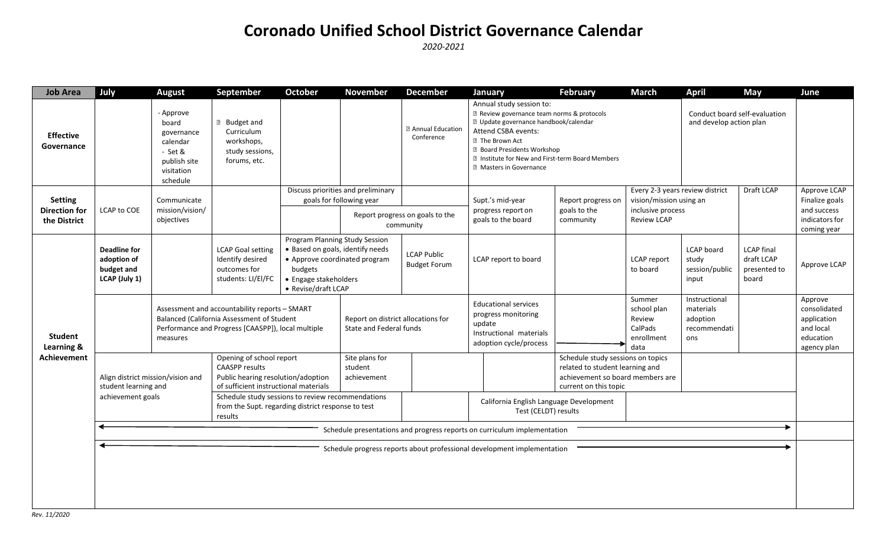## **Coronado Unified School District Governance Calendar**

*2020-2021*

| <b>Job Area</b>                                        | July                                                                           | <b>August</b>                                                                                     | September                                                                                                                                                                    | <b>October</b>                                                                            | <b>November</b>                                                   | <b>December</b>                           | January                                                                                                                                                                                                                                                                                                    | <b>February</b>                         | <b>March</b>                                                     | <b>April</b>                                                  | May                                                      | June                                                                            |
|--------------------------------------------------------|--------------------------------------------------------------------------------|---------------------------------------------------------------------------------------------------|------------------------------------------------------------------------------------------------------------------------------------------------------------------------------|-------------------------------------------------------------------------------------------|-------------------------------------------------------------------|-------------------------------------------|------------------------------------------------------------------------------------------------------------------------------------------------------------------------------------------------------------------------------------------------------------------------------------------------------------|-----------------------------------------|------------------------------------------------------------------|---------------------------------------------------------------|----------------------------------------------------------|---------------------------------------------------------------------------------|
| <b>Effective</b><br>Governance                         |                                                                                | - Approve<br>board<br>governance<br>calendar<br>- Set &<br>publish site<br>visitation<br>schedule | <b>B</b> Budget and<br>Curriculum<br>workshops,<br>study sessions,<br>forums, etc.                                                                                           |                                                                                           |                                                                   | <b>2 Annual Education</b><br>Conference   | Annual study session to:<br><b>Z</b> Review governance team norms & protocols<br>D Update governance handbook/calendar<br>Attend CSBA events:<br><b>图 The Brown Act</b><br><b>Z</b> Board Presidents Workshop<br><b>Z</b> Institute for New and First-term Board Members<br><b>Z</b> Masters in Governance |                                         |                                                                  | Conduct board self-evaluation<br>and develop action plan      |                                                          |                                                                                 |
| <b>Setting</b><br><b>Direction for</b><br>the District | LCAP to COE                                                                    | Communicate<br>mission/vision/<br>objectives                                                      |                                                                                                                                                                              |                                                                                           | Discuss priorities and preliminary                                |                                           |                                                                                                                                                                                                                                                                                                            |                                         | Every 2-3 years review district                                  |                                                               | Draft LCAP                                               | Approve LCAP                                                                    |
|                                                        |                                                                                |                                                                                                   |                                                                                                                                                                              | goals for following year                                                                  |                                                                   |                                           | Supt.'s mid-year                                                                                                                                                                                                                                                                                           | Report progress or                      |                                                                  | vision/mission using an                                       |                                                          | Finalize goals                                                                  |
|                                                        |                                                                                |                                                                                                   |                                                                                                                                                                              | Report progress on goals to the<br>community                                              |                                                                   | progress report on<br>goals to the board  | goals to the<br>community                                                                                                                                                                                                                                                                                  | inclusive process<br><b>Review LCAP</b> |                                                                  |                                                               | and success<br>indicators for<br>coming year             |                                                                                 |
| <b>Student</b><br>Learning &<br><b>Achievement</b>     | <b>Deadline for</b><br>adoption of<br>budget and<br>LCAP (July 1)              |                                                                                                   | <b>LCAP Goal setting</b><br>Identify desired<br>outcomes for<br>students: LI/El/FC                                                                                           | Program Planning Study Session<br>budgets<br>• Engage stakeholders<br>• Revise/draft LCAP | · Based on goals, identify needs<br>• Approve coordinated program | <b>LCAP Public</b><br><b>Budget Forum</b> | LCAP report to board                                                                                                                                                                                                                                                                                       |                                         | LCAP report<br>to board                                          | LCAP board<br>study<br>session/public<br>input                | <b>LCAP</b> final<br>draft LCAP<br>presented to<br>board | Approve LCAP                                                                    |
|                                                        |                                                                                | measures                                                                                          | Assessment and accountability reports - SMART<br>Balanced (California Assessment of Student<br>Performance and Progress [CAASPP]), local multiple                            |                                                                                           | Report on district allocations for<br>State and Federal funds     |                                           | <b>Educational services</b><br>progress monitoring<br>update<br>Instructional materials<br>adoption cycle/process                                                                                                                                                                                          |                                         | Summer<br>school plan<br>Review<br>CalPads<br>enrollment<br>data | Instructional<br>materials<br>adoption<br>recommendati<br>ons |                                                          | Approve<br>consolidated<br>application<br>and local<br>education<br>agency plan |
|                                                        | Align district mission/vision and<br>student learning and<br>achievement goals |                                                                                                   | Opening of school report<br>Site plans for<br><b>CAASPP</b> results<br>student<br>Public hearing resolution/adoption<br>achievement<br>of sufficient instructional materials |                                                                                           |                                                                   |                                           | Schedule study sessions on topics<br>related to student learning and<br>achievement so board members are<br>current on this topic                                                                                                                                                                          |                                         |                                                                  |                                                               |                                                          |                                                                                 |
|                                                        |                                                                                |                                                                                                   | Schedule study sessions to review recommendations<br>from the Supt. regarding district response to test<br>results                                                           |                                                                                           |                                                                   |                                           | California English Language Development<br>Test (CELDT) results                                                                                                                                                                                                                                            |                                         |                                                                  |                                                               |                                                          |                                                                                 |
|                                                        | Schedule presentations and progress reports on curriculum implementation       |                                                                                                   |                                                                                                                                                                              |                                                                                           |                                                                   |                                           |                                                                                                                                                                                                                                                                                                            |                                         |                                                                  |                                                               |                                                          |                                                                                 |
|                                                        | Schedule progress reports about professional development implementation        |                                                                                                   |                                                                                                                                                                              |                                                                                           |                                                                   |                                           |                                                                                                                                                                                                                                                                                                            |                                         |                                                                  |                                                               |                                                          |                                                                                 |
|                                                        |                                                                                |                                                                                                   |                                                                                                                                                                              |                                                                                           |                                                                   |                                           |                                                                                                                                                                                                                                                                                                            |                                         |                                                                  |                                                               |                                                          |                                                                                 |